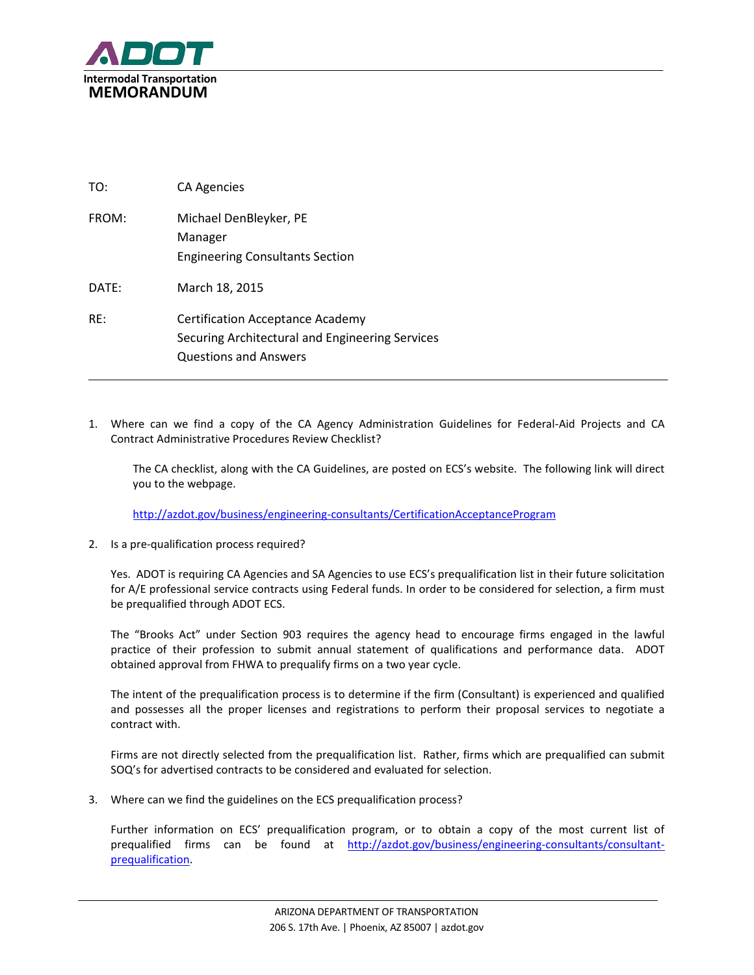

| TO:               | <b>CA Agencies</b>                                                                                                         |
|-------------------|----------------------------------------------------------------------------------------------------------------------------|
| FROM:             | Michael DenBleyker, PE<br>Manager<br><b>Engineering Consultants Section</b>                                                |
| $\mathsf{DATF}$ : | March 18, 2015                                                                                                             |
| RF:               | <b>Certification Acceptance Academy</b><br>Securing Architectural and Engineering Services<br><b>Questions and Answers</b> |

1. Where can we find a copy of the CA Agency Administration Guidelines for Federal-Aid Projects and CA Contract Administrative Procedures Review Checklist?

The CA checklist, along with the CA Guidelines, are posted on ECS's website. The following link will direct you to the webpage.

<http://azdot.gov/business/engineering-consultants/CertificationAcceptanceProgram>

2. Is a pre-qualification process required?

Yes. ADOT is requiring CA Agencies and SA Agencies to use ECS's prequalification list in their future solicitation for A/E professional service contracts using Federal funds. In order to be considered for selection, a firm must be prequalified through ADOT ECS.

The "Brooks Act" under Section 903 requires the agency head to encourage firms engaged in the lawful practice of their profession to submit annual statement of qualifications and performance data. ADOT obtained approval from FHWA to prequalify firms on a two year cycle.

The intent of the prequalification process is to determine if the firm (Consultant) is experienced and qualified and possesses all the proper licenses and registrations to perform their proposal services to negotiate a contract with.

Firms are not directly selected from the prequalification list. Rather, firms which are prequalified can submit SOQ's for advertised contracts to be considered and evaluated for selection.

3. Where can we find the guidelines on the ECS prequalification process?

Further information on ECS' prequalification program, or to obtain a copy of the most current list of prequalified firms can be found at [http://azdot.gov/business/engineering-consultants/consultant](http://azdot.gov/business/engineering-consultants/consultant-prequalification)[prequalification.](http://azdot.gov/business/engineering-consultants/consultant-prequalification)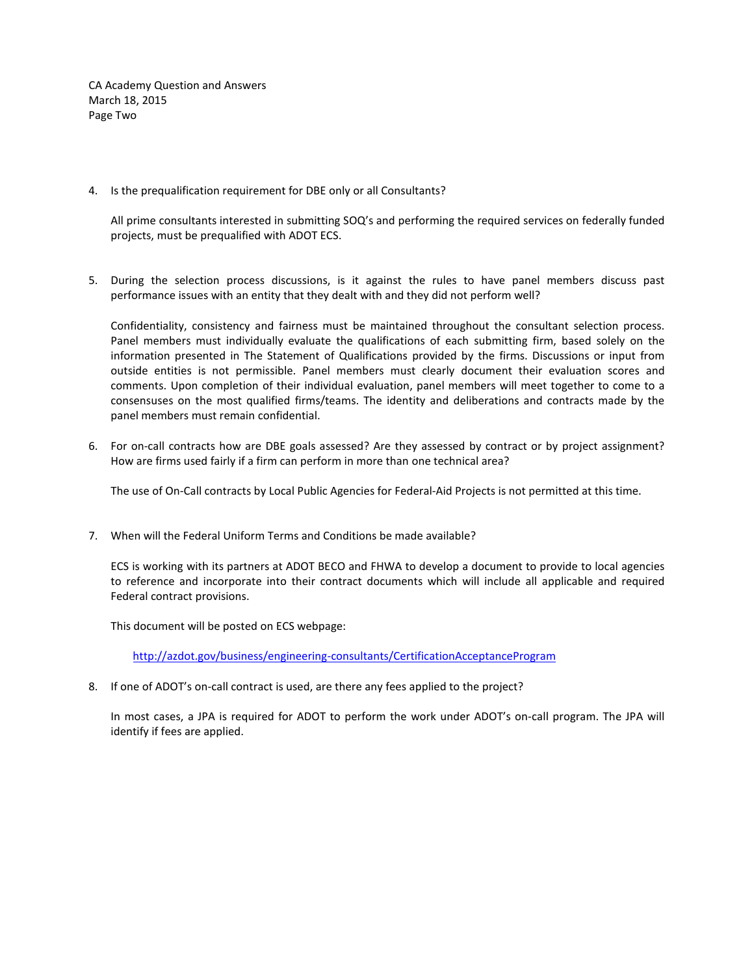CA Academy Question and Answers March 18, 2015 Page Two

4. Is the prequalification requirement for DBE only or all Consultants?

All prime consultants interested in submitting SOQ's and performing the required services on federally funded projects, must be prequalified with ADOT ECS.

5. During the selection process discussions, is it against the rules to have panel members discuss past performance issues with an entity that they dealt with and they did not perform well?

Confidentiality, consistency and fairness must be maintained throughout the consultant selection process. Panel members must individually evaluate the qualifications of each submitting firm, based solely on the information presented in The Statement of Qualifications provided by the firms. Discussions or input from outside entities is not permissible. Panel members must clearly document their evaluation scores and comments. Upon completion of their individual evaluation, panel members will meet together to come to a consensuses on the most qualified firms/teams. The identity and deliberations and contracts made by the panel members must remain confidential.

6. For on-call contracts how are DBE goals assessed? Are they assessed by contract or by project assignment? How are firms used fairly if a firm can perform in more than one technical area?

The use of On-Call contracts by Local Public Agencies for Federal-Aid Projects is not permitted at this time.

7. When will the Federal Uniform Terms and Conditions be made available?

ECS is working with its partners at ADOT BECO and FHWA to develop a document to provide to local agencies to reference and incorporate into their contract documents which will include all applicable and required Federal contract provisions.

This document will be posted on ECS webpage:

<http://azdot.gov/business/engineering-consultants/CertificationAcceptanceProgram>

8. If one of ADOT's on-call contract is used, are there any fees applied to the project?

In most cases, a JPA is required for ADOT to perform the work under ADOT's on-call program. The JPA will identify if fees are applied.